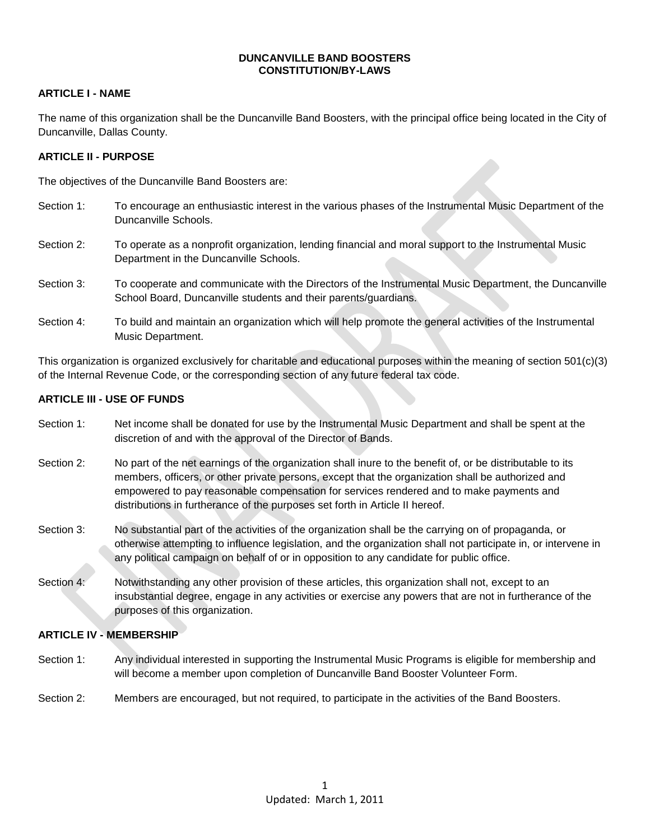#### **DUNCANVILLE BAND BOOSTERS CONSTITUTION/BY-LAWS**

## **ARTICLE I - NAME**

The name of this organization shall be the Duncanville Band Boosters, with the principal office being located in the City of Duncanville, Dallas County.

#### **ARTICLE II - PURPOSE**

The objectives of the Duncanville Band Boosters are:

- Section 1: To encourage an enthusiastic interest in the various phases of the Instrumental Music Department of the Duncanville Schools.
- Section 2: To operate as a nonprofit organization, lending financial and moral support to the Instrumental Music Department in the Duncanville Schools.
- Section 3: To cooperate and communicate with the Directors of the Instrumental Music Department, the Duncanville School Board, Duncanville students and their parents/guardians.
- Section 4: To build and maintain an organization which will help promote the general activities of the Instrumental Music Department.

This organization is organized exclusively for charitable and educational purposes within the meaning of section 501(c)(3) of the Internal Revenue Code, or the corresponding section of any future federal tax code.

#### **ARTICLE III - USE OF FUNDS**

- Section 1: Net income shall be donated for use by the Instrumental Music Department and shall be spent at the discretion of and with the approval of the Director of Bands.
- Section 2: No part of the net earnings of the organization shall inure to the benefit of, or be distributable to its members, officers, or other private persons, except that the organization shall be authorized and empowered to pay reasonable compensation for services rendered and to make payments and distributions in furtherance of the purposes set forth in Article II hereof.
- Section 3: No substantial part of the activities of the organization shall be the carrying on of propaganda, or otherwise attempting to influence legislation, and the organization shall not participate in, or intervene in any political campaign on behalf of or in opposition to any candidate for public office.
- Section 4: Notwithstanding any other provision of these articles, this organization shall not, except to an insubstantial degree, engage in any activities or exercise any powers that are not in furtherance of the purposes of this organization.

#### **ARTICLE IV - MEMBERSHIP**

- Section 1: Any individual interested in supporting the Instrumental Music Programs is eligible for membership and will become a member upon completion of Duncanville Band Booster Volunteer Form.
- Section 2: Members are encouraged, but not required, to participate in the activities of the Band Boosters.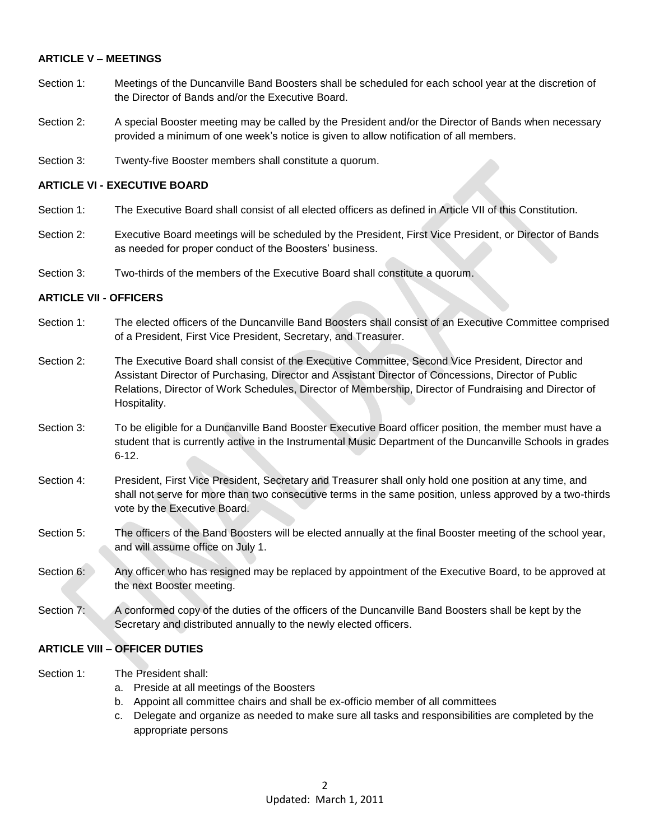## **ARTICLE V – MEETINGS**

- Section 1: Meetings of the Duncanville Band Boosters shall be scheduled for each school year at the discretion of the Director of Bands and/or the Executive Board.
- Section 2: A special Booster meeting may be called by the President and/or the Director of Bands when necessary provided a minimum of one week's notice is given to allow notification of all members.
- Section 3: Twenty-five Booster members shall constitute a quorum.

#### **ARTICLE VI - EXECUTIVE BOARD**

- Section 1: The Executive Board shall consist of all elected officers as defined in Article VII of this Constitution.
- Section 2: Executive Board meetings will be scheduled by the President, First Vice President, or Director of Bands as needed for proper conduct of the Boosters' business.
- Section 3: Two-thirds of the members of the Executive Board shall constitute a quorum.

#### **ARTICLE VII - OFFICERS**

- Section 1: The elected officers of the Duncanville Band Boosters shall consist of an Executive Committee comprised of a President, First Vice President, Secretary, and Treasurer.
- Section 2: The Executive Board shall consist of the Executive Committee, Second Vice President, Director and Assistant Director of Purchasing, Director and Assistant Director of Concessions, Director of Public Relations, Director of Work Schedules, Director of Membership, Director of Fundraising and Director of Hospitality.
- Section 3: To be eligible for a Duncanville Band Booster Executive Board officer position, the member must have a student that is currently active in the Instrumental Music Department of the Duncanville Schools in grades 6-12.
- Section 4: President, First Vice President, Secretary and Treasurer shall only hold one position at any time, and shall not serve for more than two consecutive terms in the same position, unless approved by a two-thirds vote by the Executive Board.
- Section 5: The officers of the Band Boosters will be elected annually at the final Booster meeting of the school year, and will assume office on July 1.
- Section 6: Any officer who has resigned may be replaced by appointment of the Executive Board, to be approved at the next Booster meeting.
- Section 7: A conformed copy of the duties of the officers of the Duncanville Band Boosters shall be kept by the Secretary and distributed annually to the newly elected officers.

## **ARTICLE VIII – OFFICER DUTIES**

- Section 1: The President shall:
	- a. Preside at all meetings of the Boosters
	- b. Appoint all committee chairs and shall be ex-officio member of all committees
	- c. Delegate and organize as needed to make sure all tasks and responsibilities are completed by the appropriate persons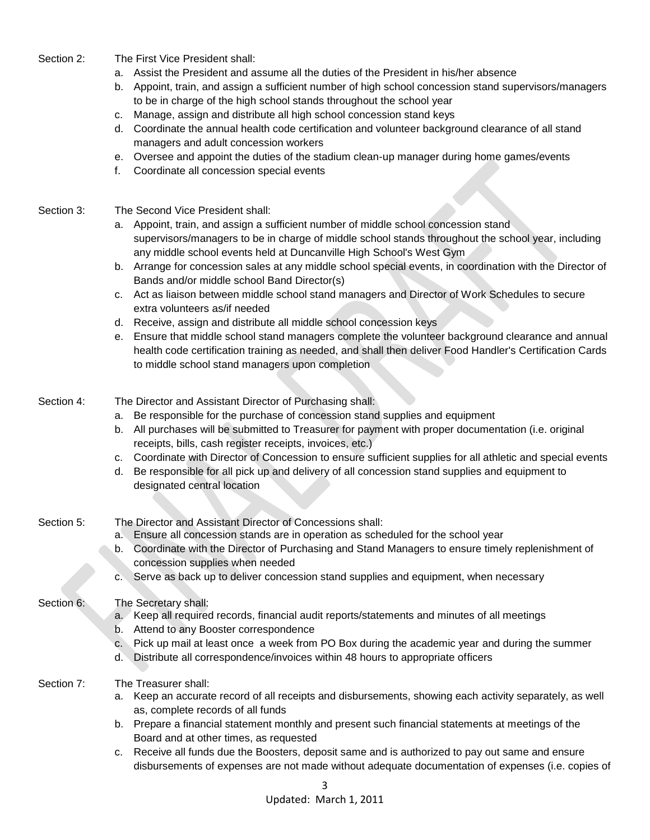Section 2: The First Vice President shall:

- a. Assist the President and assume all the duties of the President in his/her absence
- b. Appoint, train, and assign a sufficient number of high school concession stand supervisors/managers to be in charge of the high school stands throughout the school year
- c. Manage, assign and distribute all high school concession stand keys
- d. Coordinate the annual health code certification and volunteer background clearance of all stand managers and adult concession workers
- e. Oversee and appoint the duties of the stadium clean-up manager during home games/events
- f. Coordinate all concession special events
- Section 3: The Second Vice President shall:
	- a. Appoint, train, and assign a sufficient number of middle school concession stand supervisors/managers to be in charge of middle school stands throughout the school year, including any middle school events held at Duncanville High School's West Gym
	- b. Arrange for concession sales at any middle school special events, in coordination with the Director of Bands and/or middle school Band Director(s)
	- c. Act as liaison between middle school stand managers and Director of Work Schedules to secure extra volunteers as/if needed
	- d. Receive, assign and distribute all middle school concession keys
	- e. Ensure that middle school stand managers complete the volunteer background clearance and annual health code certification training as needed, and shall then deliver Food Handler's Certification Cards to middle school stand managers upon completion
- Section 4: The Director and Assistant Director of Purchasing shall:
	- a. Be responsible for the purchase of concession stand supplies and equipment
	- b. All purchases will be submitted to Treasurer for payment with proper documentation (i.e. original receipts, bills, cash register receipts, invoices, etc.)
	- c. Coordinate with Director of Concession to ensure sufficient supplies for all athletic and special events
	- d. Be responsible for all pick up and delivery of all concession stand supplies and equipment to designated central location
- Section 5: The Director and Assistant Director of Concessions shall:
	- a. Ensure all concession stands are in operation as scheduled for the school year
	- b. Coordinate with the Director of Purchasing and Stand Managers to ensure timely replenishment of concession supplies when needed
	- c. Serve as back up to deliver concession stand supplies and equipment, when necessary
- Section 6: The Secretary shall:
	- a. Keep all required records, financial audit reports/statements and minutes of all meetings
	- b. Attend to any Booster correspondence
	- c. Pick up mail at least once a week from PO Box during the academic year and during the summer
	- d. Distribute all correspondence/invoices within 48 hours to appropriate officers
- Section 7: The Treasurer shall:
	- a. Keep an accurate record of all receipts and disbursements, showing each activity separately, as well as, complete records of all funds
	- b. Prepare a financial statement monthly and present such financial statements at meetings of the Board and at other times, as requested
	- c. Receive all funds due the Boosters, deposit same and is authorized to pay out same and ensure disbursements of expenses are not made without adequate documentation of expenses (i.e. copies of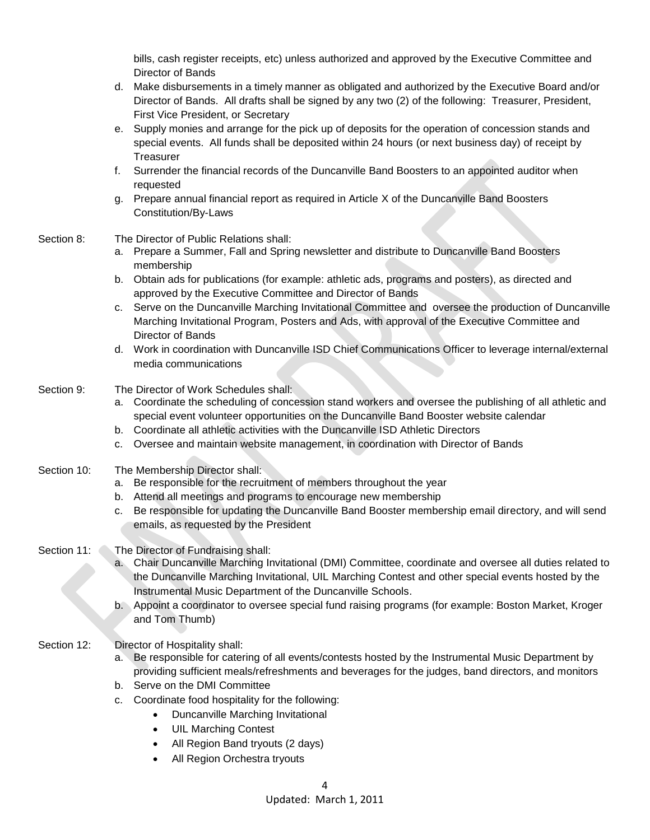bills, cash register receipts, etc) unless authorized and approved by the Executive Committee and Director of Bands

- d. Make disbursements in a timely manner as obligated and authorized by the Executive Board and/or Director of Bands. All drafts shall be signed by any two (2) of the following: Treasurer, President, First Vice President, or Secretary
- e. Supply monies and arrange for the pick up of deposits for the operation of concession stands and special events. All funds shall be deposited within 24 hours (or next business day) of receipt by **Treasurer**
- f. Surrender the financial records of the Duncanville Band Boosters to an appointed auditor when requested
- g. Prepare annual financial report as required in Article X of the Duncanville Band Boosters Constitution/By-Laws
- Section 8: The Director of Public Relations shall:
	- a. Prepare a Summer, Fall and Spring newsletter and distribute to Duncanville Band Boosters membership
	- b. Obtain ads for publications (for example: athletic ads, programs and posters), as directed and approved by the Executive Committee and Director of Bands
	- c. Serve on the Duncanville Marching Invitational Committee and oversee the production of Duncanville Marching Invitational Program, Posters and Ads, with approval of the Executive Committee and Director of Bands
	- d. Work in coordination with Duncanville ISD Chief Communications Officer to leverage internal/external media communications
- Section 9: The Director of Work Schedules shall:
	- a. Coordinate the scheduling of concession stand workers and oversee the publishing of all athletic and special event volunteer opportunities on the Duncanville Band Booster website calendar
	- b. Coordinate all athletic activities with the Duncanville ISD Athletic Directors
	- c. Oversee and maintain website management, in coordination with Director of Bands
- Section 10: The Membership Director shall:
	- a. Be responsible for the recruitment of members throughout the year
	- b. Attend all meetings and programs to encourage new membership
	- c. Be responsible for updating the Duncanville Band Booster membership email directory, and will send emails, as requested by the President
- Section 11: The Director of Fundraising shall:
	- a. Chair Duncanville Marching Invitational (DMI) Committee, coordinate and oversee all duties related to the Duncanville Marching Invitational, UIL Marching Contest and other special events hosted by the Instrumental Music Department of the Duncanville Schools.
	- b. Appoint a coordinator to oversee special fund raising programs (for example: Boston Market, Kroger and Tom Thumb)
- Section 12: Director of Hospitality shall:
	- a. Be responsible for catering of all events/contests hosted by the Instrumental Music Department by providing sufficient meals/refreshments and beverages for the judges, band directors, and monitors
	- b. Serve on the DMI Committee
	- c. Coordinate food hospitality for the following:
		- Duncanville Marching Invitational
		- UIL Marching Contest
		- All Region Band tryouts (2 days)
		- All Region Orchestra tryouts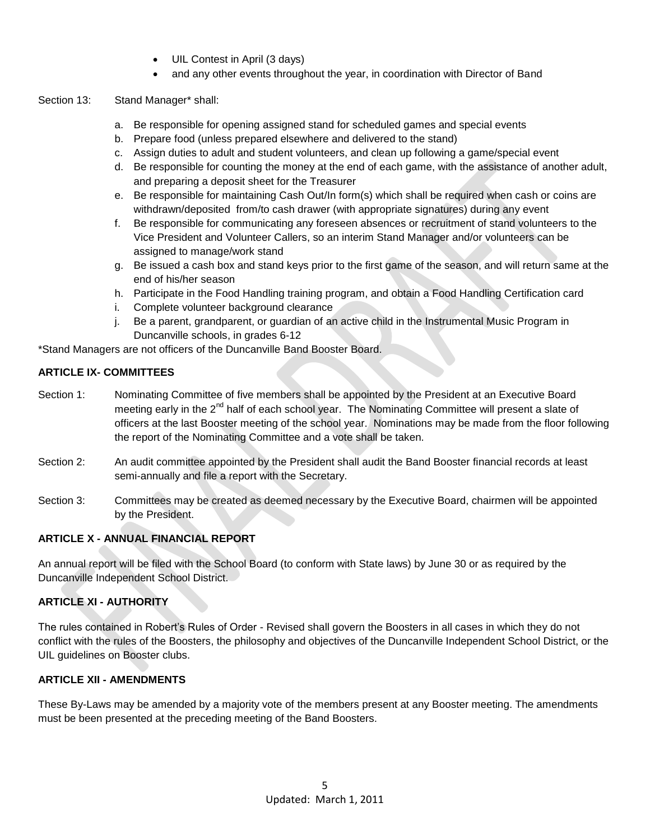- UIL Contest in April (3 days)
- and any other events throughout the year, in coordination with Director of Band

## Section 13: Stand Manager\* shall:

- a. Be responsible for opening assigned stand for scheduled games and special events
- b. Prepare food (unless prepared elsewhere and delivered to the stand)
- c. Assign duties to adult and student volunteers, and clean up following a game/special event
- d. Be responsible for counting the money at the end of each game, with the assistance of another adult, and preparing a deposit sheet for the Treasurer
- e. Be responsible for maintaining Cash Out/In form(s) which shall be required when cash or coins are withdrawn/deposited from/to cash drawer (with appropriate signatures) during any event
- f. Be responsible for communicating any foreseen absences or recruitment of stand volunteers to the Vice President and Volunteer Callers, so an interim Stand Manager and/or volunteers can be assigned to manage/work stand
- g. Be issued a cash box and stand keys prior to the first game of the season, and will return same at the end of his/her season
- h. Participate in the Food Handling training program, and obtain a Food Handling Certification card
- i. Complete volunteer background clearance
- j. Be a parent, grandparent, or guardian of an active child in the Instrumental Music Program in Duncanville schools, in grades 6-12

\*Stand Managers are not officers of the Duncanville Band Booster Board.

## **ARTICLE IX- COMMITTEES**

- Section 1: Nominating Committee of five members shall be appointed by the President at an Executive Board meeting early in the 2<sup>nd</sup> half of each school year. The Nominating Committee will present a slate of officers at the last Booster meeting of the school year. Nominations may be made from the floor following the report of the Nominating Committee and a vote shall be taken.
- Section 2: An audit committee appointed by the President shall audit the Band Booster financial records at least semi-annually and file a report with the Secretary.
- Section 3: Committees may be created as deemed necessary by the Executive Board, chairmen will be appointed by the President.

# **ARTICLE X - ANNUAL FINANCIAL REPORT**

An annual report will be filed with the School Board (to conform with State laws) by June 30 or as required by the Duncanville Independent School District.

# **ARTICLE XI - AUTHORITY**

The rules contained in Robert's Rules of Order - Revised shall govern the Boosters in all cases in which they do not conflict with the rules of the Boosters, the philosophy and objectives of the Duncanville Independent School District, or the UIL guidelines on Booster clubs.

# **ARTICLE XII - AMENDMENTS**

These By-Laws may be amended by a majority vote of the members present at any Booster meeting. The amendments must be been presented at the preceding meeting of the Band Boosters.